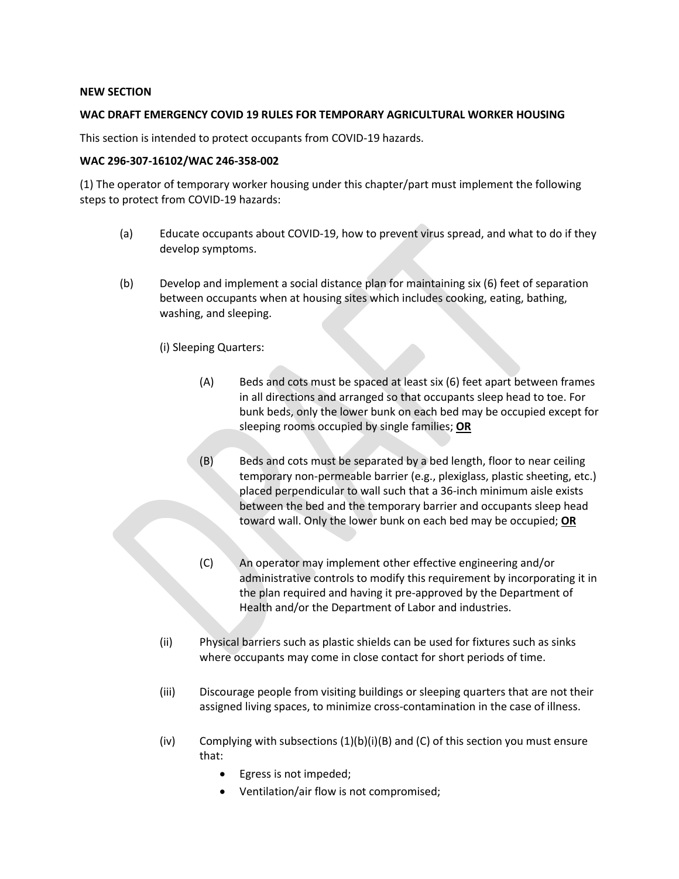## **NEW SECTION**

## **WAC DRAFT EMERGENCY COVID 19 RULES FOR TEMPORARY AGRICULTURAL WORKER HOUSING**

This section is intended to protect occupants from COVID-19 hazards.

## **WAC 296-307-16102/WAC 246-358-002**

(1) The operator of temporary worker housing under this chapter/part must implement the following steps to protect from COVID-19 hazards:

- (a) Educate occupants about COVID-19, how to prevent virus spread, and what to do if they develop symptoms.
- (b) Develop and implement a social distance plan for maintaining six (6) feet of separation between occupants when at housing sites which includes cooking, eating, bathing, washing, and sleeping.
	- (i) Sleeping Quarters:
		- (A) Beds and cots must be spaced at least six (6) feet apart between frames in all directions and arranged so that occupants sleep head to toe. For bunk beds, only the lower bunk on each bed may be occupied except for sleeping rooms occupied by single families; **OR**
		- (B) Beds and cots must be separated by a bed length, floor to near ceiling temporary non-permeable barrier (e.g., plexiglass, plastic sheeting, etc.) placed perpendicular to wall such that a 36-inch minimum aisle exists between the bed and the temporary barrier and occupants sleep head toward wall. Only the lower bunk on each bed may be occupied; **OR**
		- (C) An operator may implement other effective engineering and/or administrative controls to modify this requirement by incorporating it in the plan required and having it pre-approved by the Department of Health and/or the Department of Labor and industries.
	- (ii) Physical barriers such as plastic shields can be used for fixtures such as sinks where occupants may come in close contact for short periods of time.
	- (iii) Discourage people from visiting buildings or sleeping quarters that are not their assigned living spaces, to minimize cross-contamination in the case of illness.
	- $(iv)$  Complying with subsections  $(1)(b)(i)(B)$  and  $(C)$  of this section you must ensure that:
		- Egress is not impeded;
		- Ventilation/air flow is not compromised;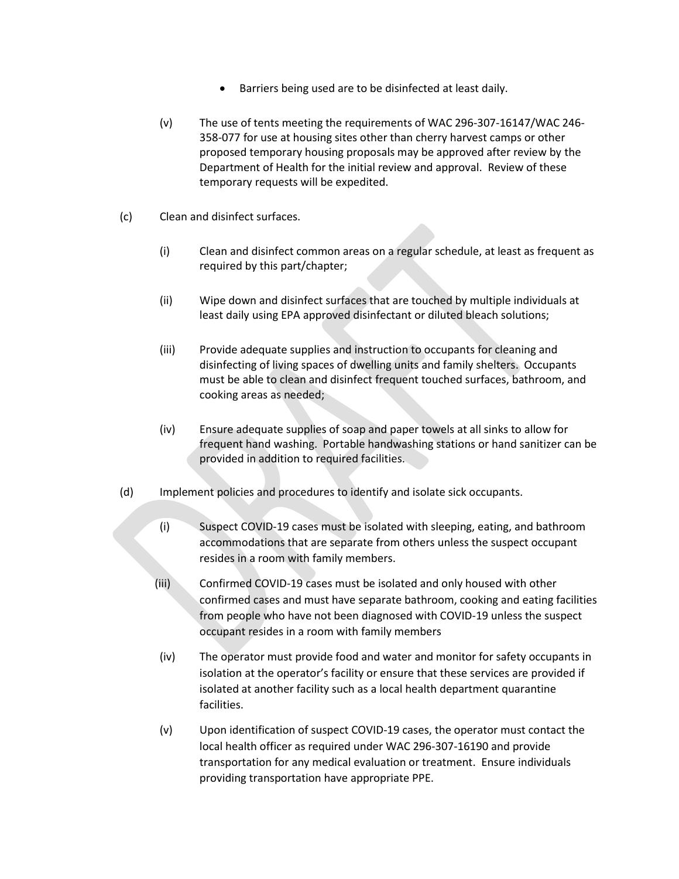- Barriers being used are to be disinfected at least daily.
- (v) The use of tents meeting the requirements of WAC 296-307-16147/WAC 246- 358-077 for use at housing sites other than cherry harvest camps or other proposed temporary housing proposals may be approved after review by the Department of Health for the initial review and approval. Review of these temporary requests will be expedited.
- (c) Clean and disinfect surfaces.
	- (i) Clean and disinfect common areas on a regular schedule, at least as frequent as required by this part/chapter;
	- (ii) Wipe down and disinfect surfaces that are touched by multiple individuals at least daily using EPA approved disinfectant or diluted bleach solutions;
	- (iii) Provide adequate supplies and instruction to occupants for cleaning and disinfecting of living spaces of dwelling units and family shelters. Occupants must be able to clean and disinfect frequent touched surfaces, bathroom, and cooking areas as needed;
	- (iv) Ensure adequate supplies of soap and paper towels at all sinks to allow for frequent hand washing. Portable handwashing stations or hand sanitizer can be provided in addition to required facilities.
- (d) Implement policies and procedures to identify and isolate sick occupants.
	- (i) Suspect COVID-19 cases must be isolated with sleeping, eating, and bathroom accommodations that are separate from others unless the suspect occupant resides in a room with family members.
	- (iii) Confirmed COVID-19 cases must be isolated and only housed with other confirmed cases and must have separate bathroom, cooking and eating facilities from people who have not been diagnosed with COVID-19 unless the suspect occupant resides in a room with family members
	- (iv) The operator must provide food and water and monitor for safety occupants in isolation at the operator's facility or ensure that these services are provided if isolated at another facility such as a local health department quarantine facilities.
	- (v) Upon identification of suspect COVID-19 cases, the operator must contact the local health officer as required under WAC 296-307-16190 and provide transportation for any medical evaluation or treatment. Ensure individuals providing transportation have appropriate PPE.